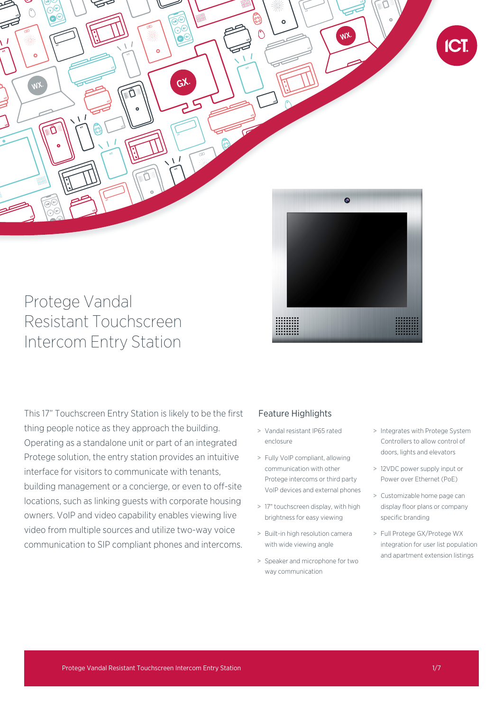

# Protege Vandal Resistant Touchscreen Intercom Entry Station



This 17" Touchscreen Entry Station is likely to be the first thing people notice as they approach the building. Operating as a standalone unit or part of an integrated Protege solution, the entry station provides an intuitive interface for visitors to communicate with tenants, building management or a concierge, or even to off-site locations, such as linking guests with corporate housing owners. VoIP and video capability enables viewing live video from multiple sources and utilize two-way voice communication to SIP compliant phones and intercoms.

## Feature Highlights

- > Vandal resistant IP65 rated enclosure
- > Fully VoIP compliant, allowing communication with other Protege intercoms or third party VoIP devices and external phones
- > 17" touchscreen display, with high brightness for easy viewing
- > Built-in high resolution camera with wide viewing angle
- > Speaker and microphone for two way communication
- > Integrates with Protege System Controllers to allow control of doors, lights and elevators
- > 12VDC power supply input or Power over Ethernet (PoE)
- > Customizable home page can display floor plans or company specific branding
- > Full Protege GX/Protege WX integration for user list population and apartment extension listings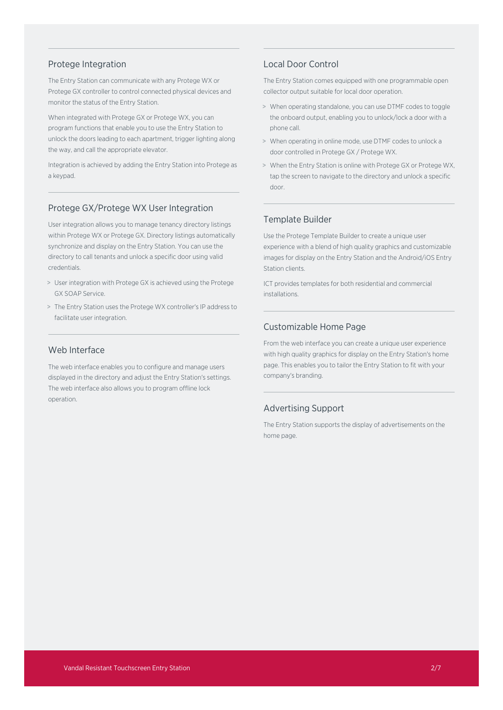#### Protege Integration

The Entry Station can communicate with any Protege WX or Protege GX controller to control connected physical devices and monitor the status of the Entry Station.

When integrated with Protege GX or Protege WX, you can program functions that enable you to use the Entry Station to unlock the doors leading to each apartment, trigger lighting along the way, and call the appropriate elevator.

Integration is achieved by adding the Entry Station into Protege as a keypad.

#### Protege GX/Protege WX User Integration

User integration allows you to manage tenancy directory listings within Protege WX or Protege GX. Directory listings automatically synchronize and display on the Entry Station. You can use the directory to call tenants and unlock a specific door using valid credentials.

- > User integration with Protege GX is achieved using the Protege GX SOAP Service.
- > The Entry Station uses the Protege WX controller's IP address to facilitate user integration.

## Web Interface

The web interface enables you to configure and manage users displayed in the directory and adjust the Entry Station's settings. The web interface also allows you to program offline lock operation.

#### Local Door Control

The Entry Station comes equipped with one programmable open collector output suitable for local door operation.

- > When operating standalone, you can use DTMF codes to toggle the onboard output, enabling you to unlock/lock a door with a phone call.
- > When operating in online mode, use DTMF codes to unlock a door controlled in Protege GX / Protege WX.
- > When the Entry Station is online with Protege GX or Protege WX, tap the screen to navigate to the directory and unlock a specific door.

#### Template Builder

Use the Protege Template Builder to create a unique user experience with a blend of high quality graphics and customizable images for display on the Entry Station and the Android/iOS Entry Station clients.

ICT provides templates for both residential and commercial installations.

#### Customizable Home Page

From the web interface you can create a unique user experience with high quality graphics for display on the Entry Station's home page. This enables you to tailor the Entry Station to fit with your company's branding.

#### Advertising Support

The Entry Station supports the display of advertisements on the home page.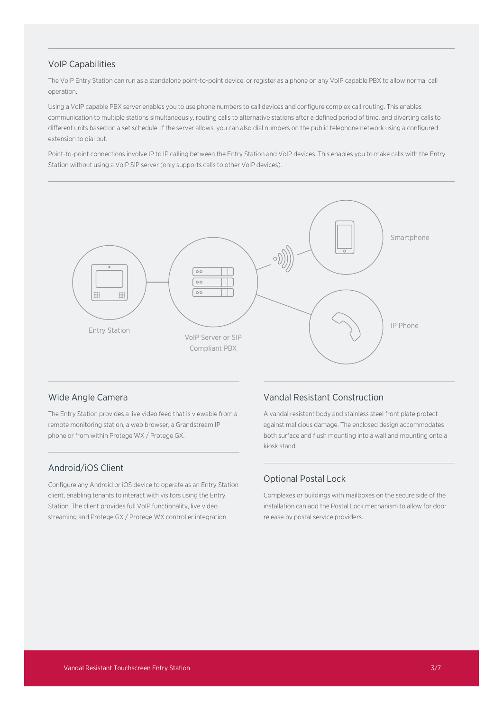## VoIP Capabilities

The VoIP Entry Station can run as a standalone point-to-point device, or register as a phone on any VoIP capable PBX to allow normal call operation.

Using a VoIP capable PBX server enables you to use phone numbers to call devices and configure complex call routing. This enables communication to multiple stations simultaneously, routing calls to alternative stations after a defined period of time, and diverting calls to different units based on a set schedule. If the server allows, you can also dial numbers on the public telephone network using a configured extension to dial out.

Point-to-point connections involve IP to IP calling between the Entry Station and VoIP devices. This enables you to make calls with the Entry Station without using a VoIP SIP server (only supports calls to other VoIP devices).



#### Wide Angle Camera

The Entry Station provides a live video feed that is viewable from a remote monitoring station, a web browser, a Grandstream IP phone or from within Protege WX / Protege GX.

## Android/iOS Client

Configure any Android or iOS device to operate as an Entry Station client, enabling tenants to interact with visitors using the Entry Station. The client provides full VoIP functionality, live video streaming and Protege GX / Protege WX controller integration.

#### Vandal Resistant Construction

A vandal resistant body and stainless steel front plate protect against malicious damage. The enclosed design accommodates both surface and flush mounting into a wall and mounting onto a kiosk stand.

#### Optional Postal Lock

Complexes or buildings with mailboxes on the secure side of the installation can add the Postal Lock mechanism to allow for door release by postal service providers.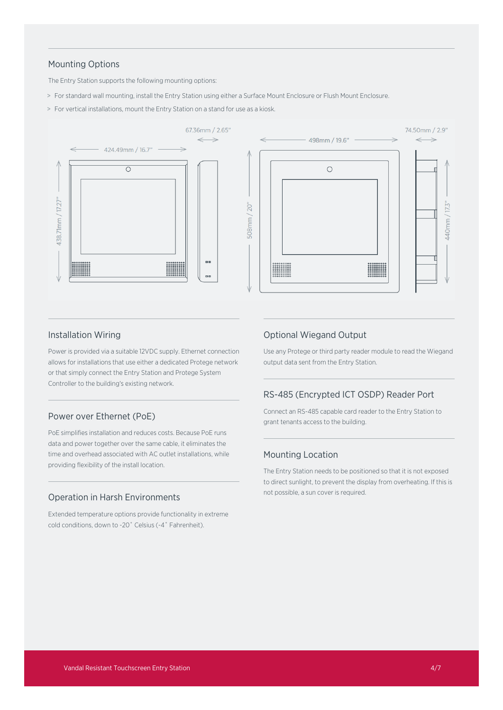### Mounting Options

The Entry Station supports the following mounting options:

- > For standard wall mounting, install the Entry Station using either a Surface Mount Enclosure or Flush Mount Enclosure.
- > For vertical installations, mount the Entry Station on a stand for use as a kiosk.



#### Installation Wiring

Power is provided via a suitable 12VDC supply. Ethernet connection allows for installations that use either a dedicated Protege network or that simply connect the Entry Station and Protege System Controller to the building's existing network.

#### Power over Ethernet (PoE)

PoE simplifies installation and reduces costs. Because PoE runs data and power together over the same cable, it eliminates the time and overhead associated with AC outlet installations, while providing flexibility of the install location.

#### Operation in Harsh Environments

Extended temperature options provide functionality in extreme cold conditions, down to -20˚ Celsius (-4˚ Fahrenheit).

#### Optional Wiegand Output

Use any Protege or third party reader module to read the Wiegand output data sent from the Entry Station.

## RS-485 (Encrypted ICT OSDP) Reader Port

Connect an RS-485 capable card reader to the Entry Station to grant tenants access to the building.

#### Mounting Location

The Entry Station needs to be positioned so that it is not exposed to direct sunlight, to prevent the display from overheating. If this is not possible, a sun cover is required.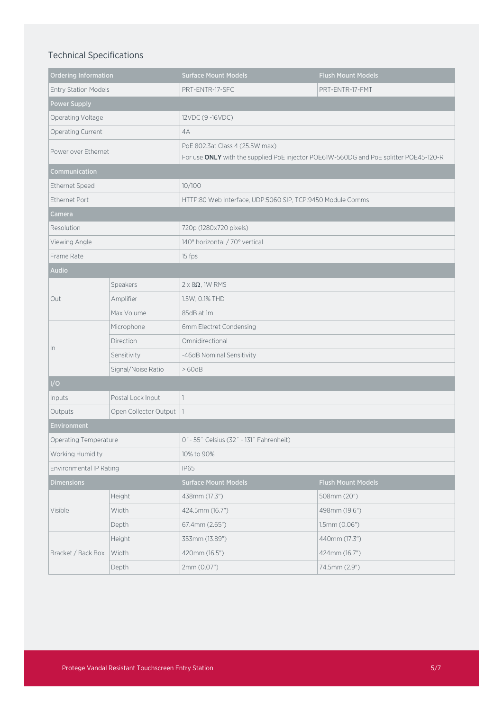## Technical Specifications

| <b>Ordering Information</b> |                       | <b>Surface Mount Models</b>                                                           | <b>Flush Mount Models</b> |
|-----------------------------|-----------------------|---------------------------------------------------------------------------------------|---------------------------|
| <b>Entry Station Models</b> |                       | PRT-ENTR-17-SFC                                                                       | PRT-ENTR-17-FMT           |
| <b>Power Supply</b>         |                       |                                                                                       |                           |
| Operating Voltage           |                       | 12VDC (9-16VDC)                                                                       |                           |
| Operating Current           |                       | 4A                                                                                    |                           |
| Power over Ethernet         |                       | PoE 802.3at Class 4 (25.5W max)                                                       |                           |
|                             |                       | For use ONLY with the supplied PoE injector POE61W-560DG and PoE splitter POE45-120-R |                           |
| Communication               |                       |                                                                                       |                           |
| Ethernet Speed              |                       | 10/100                                                                                |                           |
| Ethernet Port               |                       | HTTP:80 Web Interface, UDP:5060 SIP, TCP:9450 Module Comms                            |                           |
| Camera                      |                       |                                                                                       |                           |
| Resolution                  |                       | 720p (1280x720 pixels)                                                                |                           |
| Viewing Angle               |                       | 140° horizontal / 70° vertical                                                        |                           |
| Frame Rate                  |                       | 15 fps                                                                                |                           |
| Audio                       |                       |                                                                                       |                           |
| Out                         | Speakers              | $2 \times 8\Omega$ , 1W RMS                                                           |                           |
|                             | Amplifier             | 1.5W, 0.1% THD                                                                        |                           |
|                             | Max Volume            | 85dB at 1m                                                                            |                           |
| In                          | Microphone            | 6mm Electret Condensing                                                               |                           |
|                             | Direction             | Omnidirectional                                                                       |                           |
|                             | Sensitivity           | -46dB Nominal Sensitivity                                                             |                           |
|                             | Signal/Noise Ratio    | >60dB                                                                                 |                           |
| I/O                         |                       |                                                                                       |                           |
| Inputs                      | Postal Lock Input     |                                                                                       |                           |
| Outputs                     | Open Collector Output |                                                                                       |                           |
| Environment                 |                       |                                                                                       |                           |
| Operating Temperature       |                       | 0° - 55° Celsius (32° - 131° Fahrenheit)                                              |                           |
| Working Humidity            |                       | 10% to 90%                                                                            |                           |
| Environmental IP Rating     |                       | <b>IP65</b>                                                                           |                           |
| <b>Dimensions</b>           |                       | Surface Mount Models                                                                  | <b>Flush Mount Models</b> |
| Visible                     | Height                | 438mm (17.3")                                                                         | 508mm (20")               |
|                             | Width                 | 424.5mm (16.7")                                                                       | 498mm (19.6")             |
|                             | Depth                 | 67.4mm (2.65")                                                                        | $1.5$ mm $(0.06")$        |
| Bracket / Back Box          | Height                | 353mm (13.89")                                                                        | 440mm (17.3")             |
|                             | Width                 | 420mm (16.5")                                                                         | 424mm (16.7")             |
|                             | Depth                 | 2mm (0.07")                                                                           | 74.5mm (2.9")             |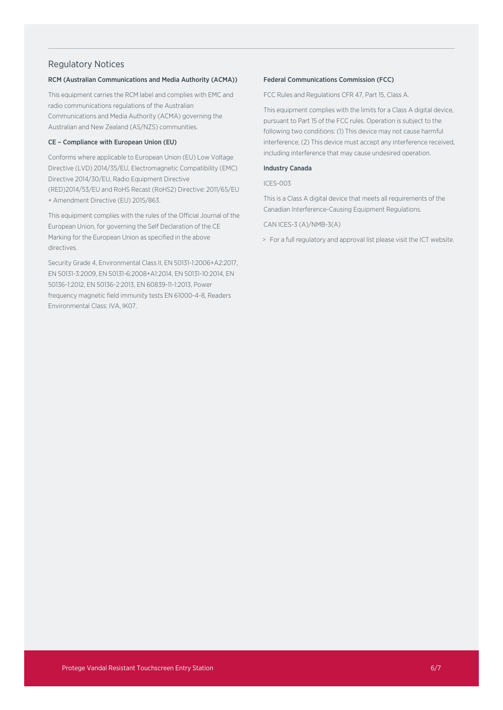#### Regulatory Notices

#### RCM (Australian Communications and Media Authority (ACMA))

This equipment carries the RCM label and complies with EMC and radio communications regulations of the Australian Communications and Media Authority (ACMA) governing the Australian and New Zealand (AS/NZS) communities.

#### CE – Compliance with European Union (EU)

Conforms where applicable to European Union (EU) Low Voltage Directive (LVD) 2014/35/EU, Electromagnetic Compatibility (EMC) Directive 2014/30/EU, Radio Equipment Directive (RED)2014/53/EU and RoHS Recast (RoHS2) Directive: 2011/65/EU + Amendment Directive (EU) 2015/863.

This equipment complies with the rules of the Official Journal of the European Union, for governing the Self Declaration of the CE Marking for the European Union as specified in the above directives.

Security Grade 4, Environmental Class II, EN 50131-1:2006+A2:2017, EN 50131-3:2009, EN 50131-6:2008+A1:2014, EN 50131-10:2014, EN 50136-1:2012, EN 50136-2:2013, EN 60839-11-1:2013, Power frequency magnetic field immunity tests EN 61000-4-8, Readers Environmental Class: IVA, IK07.

#### Federal Communications Commission (FCC)

FCC Rules and Regulations CFR 47, Part 15, Class A.

This equipment complies with the limits for a Class A digital device, pursuant to Part 15 of the FCC rules. Operation is subject to the following two conditions: (1) This device may not cause harmful interference; (2) This device must accept any interference received, including interference that may cause undesired operation.

#### Industry Canada

ICES-003

This is a Class A digital device that meets all requirements of the Canadian Interference-Causing Equipment Regulations.

CAN ICES-3 (A)/NMB-3(A)

> For a full regulatory and approval list please visit the ICT website.